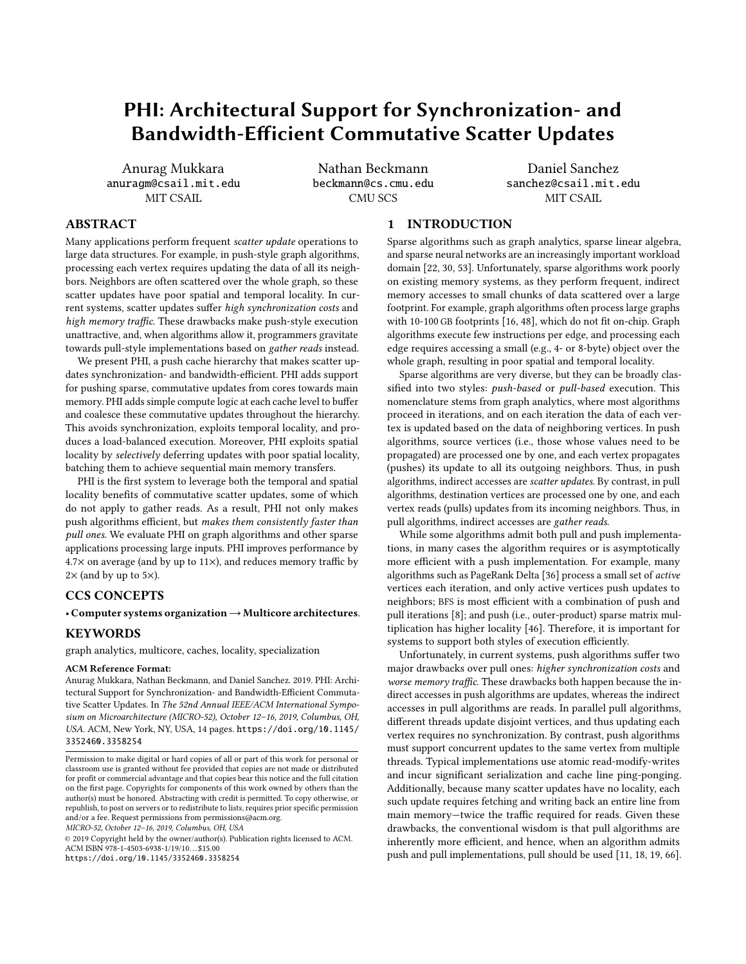# PHI: Architectural Support for Synchronization- and Bandwidth-Efficient Commutative Scatter Updates

Anurag Mukkara anuragm@csail.mit.edu MIT CSAIL

Nathan Beckmann beckmann@cs.cmu.edu CMU SCS

Daniel Sanchez sanchez@csail.mit.edu MIT CSAIL

# ABSTRACT

Many applications perform frequent scatter update operations to large data structures. For example, in push-style graph algorithms, processing each vertex requires updating the data of all its neighbors. Neighbors are often scattered over the whole graph, so these scatter updates have poor spatial and temporal locality. In current systems, scatter updates suffer high synchronization costs and high memory traffic. These drawbacks make push-style execution unattractive, and, when algorithms allow it, programmers gravitate towards pull-style implementations based on gather reads instead.

We present PHI, a push cache hierarchy that makes scatter updates synchronization- and bandwidth-efficient. PHI adds support for pushing sparse, commutative updates from cores towards main memory. PHI adds simple compute logic at each cache level to buffer and coalesce these commutative updates throughout the hierarchy. This avoids synchronization, exploits temporal locality, and produces a load-balanced execution. Moreover, PHI exploits spatial locality by selectively deferring updates with poor spatial locality, batching them to achieve sequential main memory transfers.

PHI is the first system to leverage both the temporal and spatial locality benefits of commutative scatter updates, some of which do not apply to gather reads. As a result, PHI not only makes push algorithms efficient, but makes them consistently faster than pull ones. We evaluate PHI on graph algorithms and other sparse applications processing large inputs. PHI improves performance by  $4.7\times$  on average (and by up to 11 $\times$ ), and reduces memory traffic by  $2\times$  (and by up to 5 $\times$ ).

# CCS CONCEPTS

· Computer systems organization→Multicore architectures.

### **KEYWORDS**

graph analytics, multicore, caches, locality, specialization

### ACM Reference Format:

Anurag Mukkara, Nathan Beckmann, and Daniel Sanchez. 2019. PHI: Architectural Support for Synchronization- and Bandwidth-Efficient Commutative Scatter Updates. In The 52nd Annual IEEE/ACM International Symposium on Microarchitecture (MICRO-52), October 12-16, 2019, Columbus, OH, USA. ACM, New York, NY, USA, 14 pages. https://doi.org/10.1145/ 3352460.3358254

MICRO-52, October 12-16, 2019, Columbus, OH, USA

© 2019 Copyright held by the owner/author(s). Publication rights licensed to ACM. ACM ISBN 978-1-4503-6938-1/19/10. . . \$15.00 https://doi.org/10.1145/3352460.3358254

1 INTRODUCTION

Sparse algorithms such as graph analytics, sparse linear algebra, and sparse neural networks are an increasingly important workload domain [22, 30, 53]. Unfortunately, sparse algorithms work poorly on existing memory systems, as they perform frequent, indirect memory accesses to small chunks of data scattered over a large footprint. For example, graph algorithms often process large graphs with 10-100 GB footprints [16, 48], which do not fit on-chip. Graph algorithms execute few instructions per edge, and processing each edge requires accessing a small (e.g., 4- or 8-byte) object over the whole graph, resulting in poor spatial and temporal locality.

Sparse algorithms are very diverse, but they can be broadly classified into two styles: push-based or pull-based execution. This nomenclature stems from graph analytics, where most algorithms proceed in iterations, and on each iteration the data of each vertex is updated based on the data of neighboring vertices. In push algorithms, source vertices (i.e., those whose values need to be propagated) are processed one by one, and each vertex propagates (pushes) its update to all its outgoing neighbors. Thus, in push algorithms, indirect accesses are scatter updates. By contrast, in pull algorithms, destination vertices are processed one by one, and each vertex reads (pulls) updates from its incoming neighbors. Thus, in pull algorithms, indirect accesses are gather reads.

While some algorithms admit both pull and push implementations, in many cases the algorithm requires or is asymptotically more efficient with a push implementation. For example, many algorithms such as PageRank Delta [36] process a small set of active vertices each iteration, and only active vertices push updates to neighbors; BFS is most efficient with a combination of push and pull iterations [8]; and push (i.e., outer-product) sparse matrix multiplication has higher locality [46]. Therefore, it is important for systems to support both styles of execution efficiently.

Unfortunately, in current systems, push algorithms suffer two major drawbacks over pull ones: higher synchronization costs and worse memory traffic. These drawbacks both happen because the indirect accesses in push algorithms are updates, whereas the indirect accesses in pull algorithms are reads. In parallel pull algorithms, different threads update disjoint vertices, and thus updating each vertex requires no synchronization. By contrast, push algorithms must support concurrent updates to the same vertex from multiple threads. Typical implementations use atomic read-modify-writes and incur significant serialization and cache line ping-ponging. Additionally, because many scatter updates have no locality, each such update requires fetching and writing back an entire line from main memory-twice the traffic required for reads. Given these drawbacks, the conventional wisdom is that pull algorithms are inherently more efficient, and hence, when an algorithm admits push and pull implementations, pull should be used [11, 18, 19, 66].

Permission to make digital or hard copies of all or part of this work for personal or classroom use is granted without fee provided that copies are not made or distributed for profit or commercial advantage and that copies bear this notice and the full citation on the first page. Copyrights for components of this work owned by others than the author(s) must be honored. Abstracting with credit is permitted. To copy otherwise, or republish, to post on servers or to redistribute to lists, requires prior specific permission and/or a fee. Request permissions from permissions@acm.org.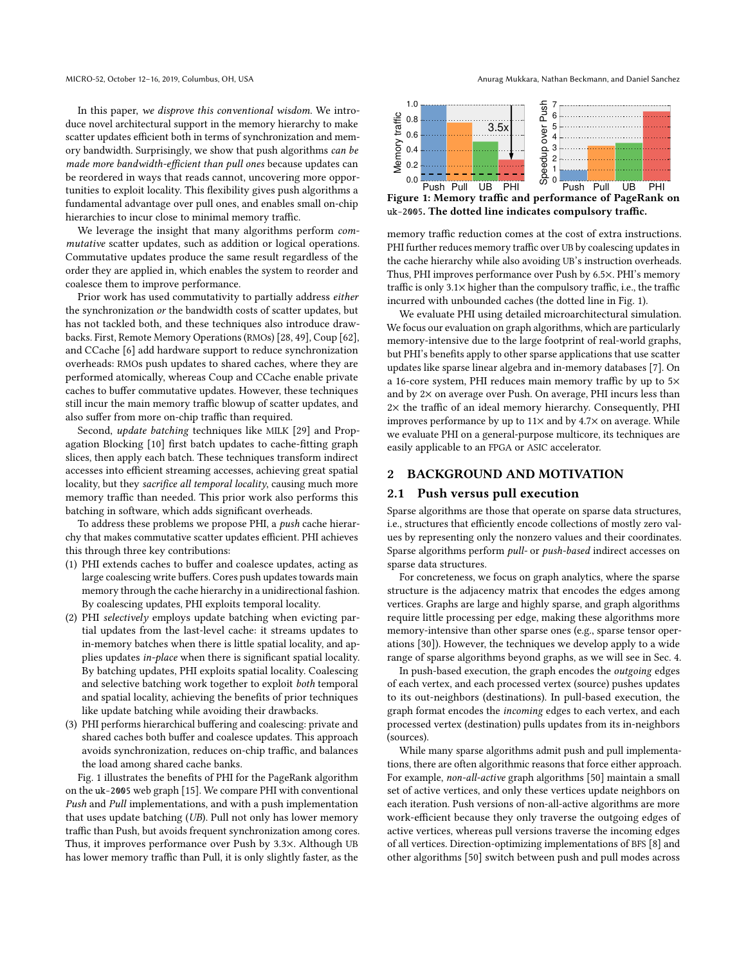In this paper, we disprove this conventional wisdom. We introduce novel architectural support in the memory hierarchy to make scatter updates efficient both in terms of synchronization and memory bandwidth. Surprisingly, we show that push algorithms can be made more bandwidth-efficient than pull ones because updates can be reordered in ways that reads cannot, uncovering more opportunities to exploit locality. This flexibility gives push algorithms a fundamental advantage over pull ones, and enables small on-chip hierarchies to incur close to minimal memory traffic.

We leverage the insight that many algorithms perform commutative scatter updates, such as addition or logical operations. Commutative updates produce the same result regardless of the order they are applied in, which enables the system to reorder and coalesce them to improve performance.

Prior work has used commutativity to partially address either the synchronization or the bandwidth costs of scatter updates, but has not tackled both, and these techniques also introduce drawbacks. First, Remote Memory Operations (RMOs) [28, 49], Coup [62], and CCache [6] add hardware support to reduce synchronization overheads: RMOs push updates to shared caches, where they are performed atomically, whereas Coup and CCache enable private caches to buffer commutative updates. However, these techniques still incur the main memory traffic blowup of scatter updates, and also suffer from more on-chip traffic than required.

Second, update batching techniques like MILK [29] and Propagation Blocking [10] first batch updates to cache-fitting graph slices, then apply each batch. These techniques transform indirect accesses into efficient streaming accesses, achieving great spatial locality, but they *sacrifice all temporal locality*, causing much more memory traffic than needed. This prior work also performs this batching in software, which adds significant overheads.

To address these problems we propose PHI, a push cache hierarchy that makes commutative scatter updates efficient. PHI achieves this through three key contributions:

- (1) PHI extends caches to buffer and coalesce updates, acting as large coalescing write buffers. Cores push updates towards main memory through the cache hierarchy in a unidirectional fashion. By coalescing updates, PHI exploits temporal locality.
- (2) PHI selectively employs update batching when evicting partial updates from the last-level cache: it streams updates to in-memory batches when there is little spatial locality, and applies updates in-place when there is significant spatial locality. By batching updates, PHI exploits spatial locality. Coalescing and selective batching work together to exploit both temporal and spatial locality, achieving the benefits of prior techniques like update batching while avoiding their drawbacks.
- (3) PHI performs hierarchical buffering and coalescing: private and shared caches both buffer and coalesce updates. This approach avoids synchronization, reduces on-chip traffic, and balances the load among shared cache banks.

Fig. 1 illustrates the benefits of PHI for the PageRank algorithm on the uk-2005 web graph [15]. We compare PHI with conventional Push and Pull implementations, and with a push implementation that uses update batching (UB). Pull not only has lower memory traffic than Push, but avoids frequent synchronization among cores. Thus, it improves performance over Push by 3.3×. Although UB has lower memory traffic than Pull, it is only slightly faster, as the



Figure 1: Memory traffic and performance of PageRank on uk-2005. The dotted line indicates compulsory traffic.

memory traffic reduction comes at the cost of extra instructions. PHI further reduces memory traffic over UB by coalescing updates in the cache hierarchy while also avoiding UB's instruction overheads. Thus, PHI improves performance over Push by 6.5×. PHI's memory traffic is only 3.1× higher than the compulsory traffic, i.e., the traffic incurred with unbounded caches (the dotted line in Fig. 1).

We evaluate PHI using detailed microarchitectural simulation. We focus our evaluation on graph algorithms, which are particularly memory-intensive due to the large footprint of real-world graphs, but PHI's benefits apply to other sparse applications that use scatter updates like sparse linear algebra and in-memory databases [7]. On a 16-core system, PHI reduces main memory traffic by up to 5× and by 2× on average over Push. On average, PHI incurs less than 2× the traffic of an ideal memory hierarchy. Consequently, PHI improves performance by up to  $11\times$  and by  $4.7\times$  on average. While we evaluate PHI on a general-purpose multicore, its techniques are easily applicable to an FPGA or ASIC accelerator.

# 2 BACKGROUND AND MOTIVATION

### 2.1 Push versus pull execution

Sparse algorithms are those that operate on sparse data structures, i.e., structures that efficiently encode collections of mostly zero values by representing only the nonzero values and their coordinates. Sparse algorithms perform pull- or push-based indirect accesses on sparse data structures.

For concreteness, we focus on graph analytics, where the sparse structure is the adjacency matrix that encodes the edges among vertices. Graphs are large and highly sparse, and graph algorithms require little processing per edge, making these algorithms more memory-intensive than other sparse ones (e.g., sparse tensor operations [30]). However, the techniques we develop apply to a wide range of sparse algorithms beyond graphs, as we will see in Sec. 4.

In push-based execution, the graph encodes the outgoing edges of each vertex, and each processed vertex (source) pushes updates to its out-neighbors (destinations). In pull-based execution, the graph format encodes the incoming edges to each vertex, and each processed vertex (destination) pulls updates from its in-neighbors (sources).

While many sparse algorithms admit push and pull implementations, there are often algorithmic reasons that force either approach. For example, non-all-active graph algorithms [50] maintain a small set of active vertices, and only these vertices update neighbors on each iteration. Push versions of non-all-active algorithms are more work-efficient because they only traverse the outgoing edges of active vertices, whereas pull versions traverse the incoming edges of all vertices. Direction-optimizing implementations of BFS [8] and other algorithms [50] switch between push and pull modes across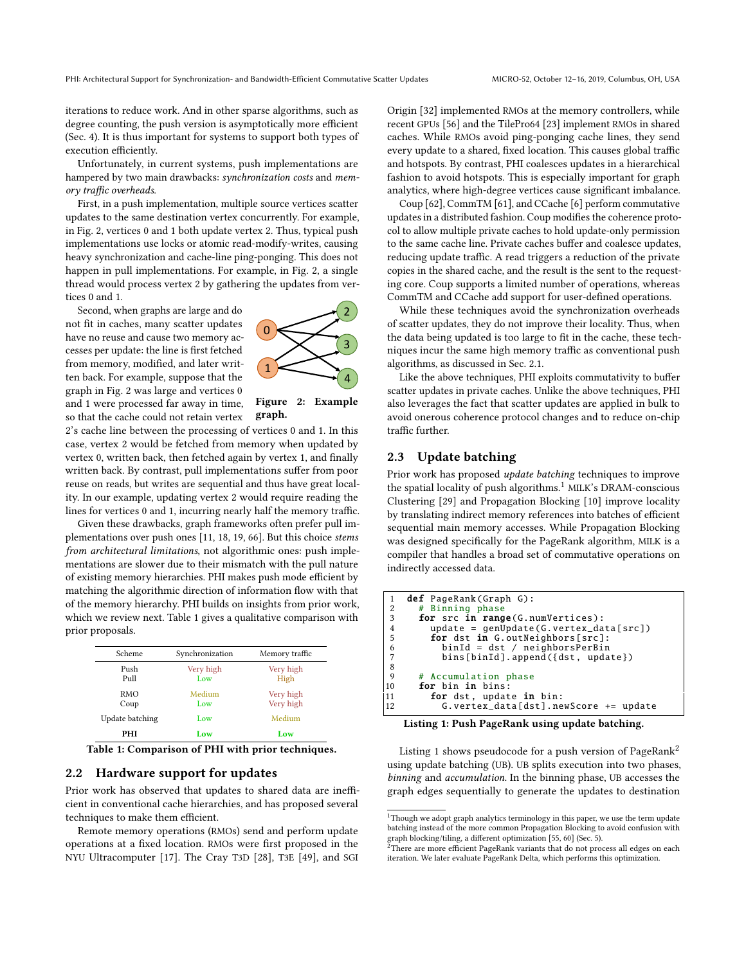iterations to reduce work. And in other sparse algorithms, such as degree counting, the push version is asymptotically more efficient (Sec. 4). It is thus important for systems to support both types of execution efficiently.

Unfortunately, in current systems, push implementations are hampered by two main drawbacks: synchronization costs and memory traffic overheads.

First, in a push implementation, multiple source vertices scatter updates to the same destination vertex concurrently. For example, in Fig. 2, vertices 0 and 1 both update vertex 2. Thus, typical push implementations use locks or atomic read-modify-writes, causing heavy synchronization and cache-line ping-ponging. This does not happen in pull implementations. For example, in Fig. 2, a single thread would process vertex 2 by gathering the updates from vertices 0 and 1.

Second, when graphs are large and do not fit in caches, many scatter updates have no reuse and cause two memory accesses per update: the line is first fetched from memory, modified, and later written back. For example, suppose that the graph in Fig. 2 was large and vertices 0 and 1 were processed far away in time, so that the cache could not retain vertex



Figure 2: Example graph.

2's cache line between the processing of vertices 0 and 1. In this case, vertex 2 would be fetched from memory when updated by vertex 0, written back, then fetched again by vertex 1, and finally written back. By contrast, pull implementations suffer from poor reuse on reads, but writes are sequential and thus have great locality. In our example, updating vertex 2 would require reading the lines for vertices 0 and 1, incurring nearly half the memory traffic.

Given these drawbacks, graph frameworks often prefer pull implementations over push ones [11, 18, 19, 66]. But this choice stems from architectural limitations, not algorithmic ones: push implementations are slower due to their mismatch with the pull nature of existing memory hierarchies. PHI makes push mode efficient by matching the algorithmic direction of information flow with that of the memory hierarchy. PHI builds on insights from prior work, which we review next. Table 1 gives a qualitative comparison with prior proposals.

| Scheme             | Synchronization  | Memory traffic         |
|--------------------|------------------|------------------------|
| Push<br>Pull       | Very high<br>Low | Very high<br>High      |
| <b>RMO</b><br>Coup | Medium<br>Low    | Very high<br>Very high |
| Update batching    | Low              | Medium                 |
| PHI                | Low              | Low                    |

Table 1: Comparison of PHI with prior techniques.

### 2.2 Hardware support for updates

Prior work has observed that updates to shared data are inefficient in conventional cache hierarchies, and has proposed several techniques to make them efficient.

Remote memory operations (RMOs) send and perform update operations at a fixed location. RMOs were first proposed in the NYU Ultracomputer [17]. The Cray T3D [28], T3E [49], and SGI Origin [32] implemented RMOs at the memory controllers, while recent GPUs [56] and the TilePro64 [23] implement RMOs in shared caches. While RMOs avoid ping-ponging cache lines, they send every update to a shared, fixed location. This causes global traffic and hotspots. By contrast, PHI coalesces updates in a hierarchical fashion to avoid hotspots. This is especially important for graph analytics, where high-degree vertices cause significant imbalance.

Coup [62], CommTM [61], and CCache [6] perform commutative updates in a distributed fashion. Coup modifies the coherence protocol to allow multiple private caches to hold update-only permission to the same cache line. Private caches buffer and coalesce updates, reducing update traffic. A read triggers a reduction of the private copies in the shared cache, and the result is the sent to the requesting core. Coup supports a limited number of operations, whereas CommTM and CCache add support for user-defined operations.

While these techniques avoid the synchronization overheads of scatter updates, they do not improve their locality. Thus, when the data being updated is too large to fit in the cache, these techniques incur the same high memory traffic as conventional push algorithms, as discussed in Sec. 2.1.

Like the above techniques, PHI exploits commutativity to buffer scatter updates in private caches. Unlike the above techniques, PHI also leverages the fact that scatter updates are applied in bulk to avoid onerous coherence protocol changes and to reduce on-chip traffic further.

# 2.3 Update batching

Prior work has proposed update batching techniques to improve the spatial locality of push algorithms.<sup>1</sup> MILK's DRAM-conscious Clustering [29] and Propagation Blocking [10] improve locality by translating indirect memory references into batches of efficient sequential main memory accesses. While Propagation Blocking was designed specifically for the PageRank algorithm, MILK is a compiler that handles a broad set of commutative operations on indirectly accessed data.

```
1 def PageRank(Graph G):<br>2 # Binning phase
2 # Binning phase<br>3 for src in rang
  3 for src in range(G. numVertices ):
4 update = genUpdate (G. vertex_data [src ])
4 update = genUpdate (G. vertex_dat<br>
5 for dst in G. outNeighbors [src]:<br>
6 binId = dst / neighbors PerBin<br>
7 bins [binId].append ({dst, upda
                   6 binId = dst / neighborsPerBin
                  bins[binId].append({dst, update})
\begin{array}{c} 8 \\ 9 \\ 10 \end{array}Accumulation phase
10 for bin in bins:<br>11 for dst, updat
11 for dst, update in bin:<br>12 G.vertex_data[dst].ne
                  12 G. vertex_data [dst ]. newScore += update
```
Listing 1: Push PageRank using update batching.

Listing 1 shows pseudocode for a push version of PageRank<sup>2</sup> using update batching (UB). UB splits execution into two phases, binning and accumulation. In the binning phase, UB accesses the graph edges sequentially to generate the updates to destination

 $^{\rm 1}$  Though we adopt graph analytics terminology in this paper, we use the term update batching instead of the more common Propagation Blocking to avoid confusion with graph blocking/tiling, a different optimization [55, 60] (Sec. 5). <sup>2</sup>There are more efficient PageRank variants that do not process all edges on each

iteration. We later evaluate PageRank Delta, which performs this optimization.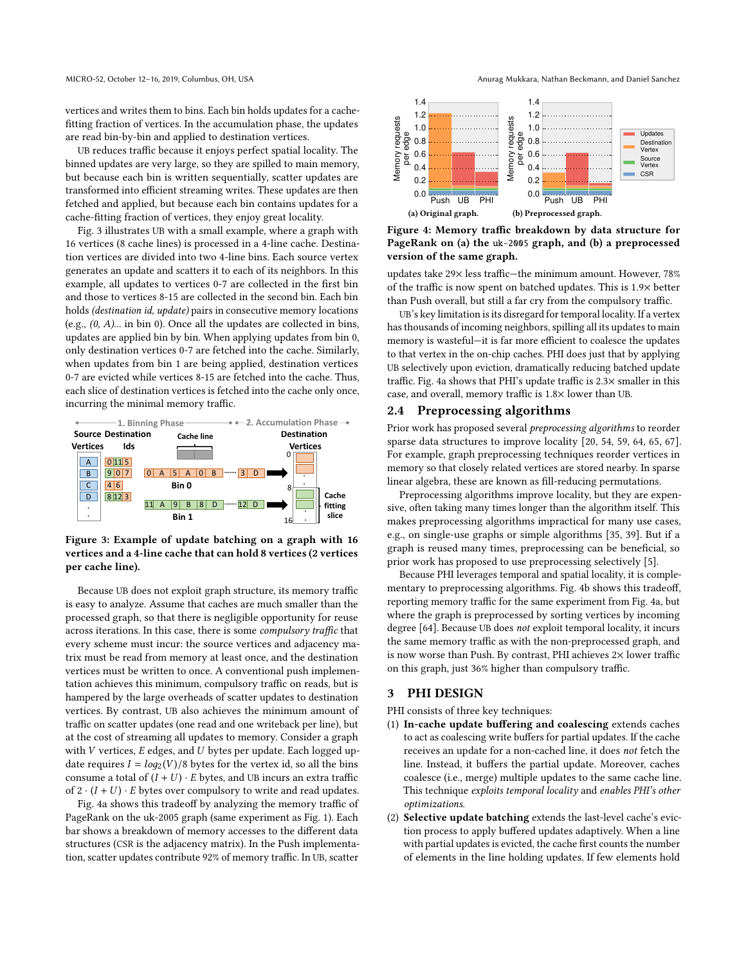vertices and writes them to bins. Each bin holds updates for a cachefitting fraction of vertices. In the accumulation phase, the updates are read bin-by-bin and applied to destination vertices.

UB reduces traffic because it enjoys perfect spatial locality. The binned updates are very large, so they are spilled to main memory, but because each bin is written sequentially, scatter updates are transformed into efficient streaming writes. These updates are then fetched and applied, but because each bin contains updates for a cache-fitting fraction of vertices, they enjoy great locality.

Fig. 3 illustrates UB with a small example, where a graph with 16 vertices (8 cache lines) is processed in a 4-line cache. Destination vertices are divided into two 4-line bins. Each source vertex generates an update and scatters it to each of its neighbors. In this example, all updates to vertices 0-7 are collected in the first bin and those to vertices 8-15 are collected in the second bin. Each bin holds *(destination id, update)* pairs in consecutive memory locations (e.g.,  $(0, A)$ ... in bin 0). Once all the updates are collected in bins, updates are applied bin by bin. When applying updates from bin 0, only destination vertices 0-7 are fetched into the cache. Similarly, when updates from bin 1 are being applied, destination vertices 0-7 are evicted while vertices 8-15 are fetched into the cache. Thus, each slice of destination vertices is fetched into the cache only once, incurring the minimal memory traffic.



Figure 3: Example of update batching on a graph with 16 vertices and a 4-line cache that can hold 8 vertices (2 vertices per cache line).

Because UB does not exploit graph structure, its memory traffic is easy to analyze. Assume that caches are much smaller than the processed graph, so that there is negligible opportunity for reuse across iterations. In this case, there is some compulsory traffic that every scheme must incur: the source vertices and adjacency matrix must be read from memory at least once, and the destination vertices must be written to once. A conventional push implementation achieves this minimum, compulsory traffic on reads, but is hampered by the large overheads of scatter updates to destination vertices. By contrast, UB also achieves the minimum amount of traffic on scatter updates (one read and one writeback per line), but at the cost of streaming all updates to memory. Consider a graph with  $V$  vertices,  $E$  edges, and  $U$  bytes per update. Each logged update requires  $I = log_2(V)/8$  bytes for the vertex id, so all the bins consume a total of  $(I + U) \cdot E$  bytes, and UB incurs an extra traffic of  $2 \cdot (I + U) \cdot E$  bytes over compulsory to write and read updates.

Fig. 4a shows this tradeoff by analyzing the memory traffic of PageRank on the uk-2005 graph (same experiment as Fig. 1). Each bar shows a breakdown of memory accesses to the different data structures (CSR is the adjacency matrix). In the Push implementation, scatter updates contribute 92% of memory traffic. In UB, scatter

#### MICRO-52, October 12-16, 2019, Columbus, OH, USA Anurag Mukkara, Nathan Beckmann, and Daniel Sanchez



Figure 4: Memory traffic breakdown by data structure for PageRank on (a) the uk-2005 graph, and (b) a preprocessed version of the same graph.

updates take 29× less traffic-the minimum amount. However, 78% of the traffic is now spent on batched updates. This is 1.9× better than Push overall, but still a far cry from the compulsory traffic.

UB's key limitation is its disregard for temporal locality. If a vertex has thousands of incoming neighbors, spilling all its updates to main memory is wasteful-it is far more efficient to coalesce the updates to that vertex in the on-chip caches. PHI does just that by applying UB selectively upon eviction, dramatically reducing batched update traffic. Fig. 4a shows that PHI's update traffic is 2.3× smaller in this case, and overall, memory traffic is 1.8× lower than UB.

### 2.4 Preprocessing algorithms

Prior work has proposed several preprocessing algorithms to reorder sparse data structures to improve locality [20, 54, 59, 64, 65, 67]. For example, graph preprocessing techniques reorder vertices in memory so that closely related vertices are stored nearby. In sparse linear algebra, these are known as fill-reducing permutations.

Preprocessing algorithms improve locality, but they are expensive, often taking many times longer than the algorithm itself. This makes preprocessing algorithms impractical for many use cases, e.g., on single-use graphs or simple algorithms [35, 39]. But if a graph is reused many times, preprocessing can be beneficial, so prior work has proposed to use preprocessing selectively [5].

Because PHI leverages temporal and spatial locality, it is complementary to preprocessing algorithms. Fig. 4b shows this tradeoff, reporting memory traffic for the same experiment from Fig. 4a, but where the graph is preprocessed by sorting vertices by incoming degree [64]. Because UB does not exploit temporal locality, it incurs the same memory traffic as with the non-preprocessed graph, and is now worse than Push. By contrast, PHI achieves  $2\times$  lower traffic on this graph, just 36% higher than compulsory traffic.

# 3 PHI DESIGN

PHI consists of three key techniques:

- (1) In-cache update buffering and coalescing extends caches to act as coalescing write buffers for partial updates. If the cache receives an update for a non-cached line, it does not fetch the line. Instead, it buffers the partial update. Moreover, caches coalesce (i.e., merge) multiple updates to the same cache line. This technique exploits temporal locality and enables PHI's other optimizations.
- (2) Selective update batching extends the last-level cache's eviction process to apply buffered updates adaptively. When a line with partial updates is evicted, the cache first counts the number of elements in the line holding updates. If few elements hold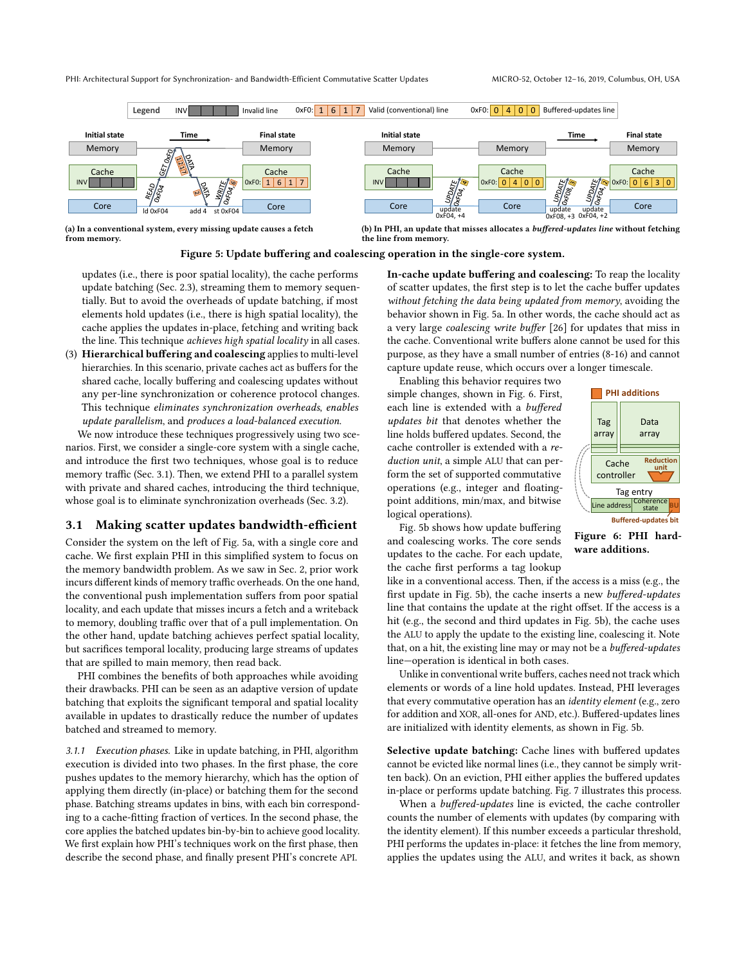

(a) In a conventional system, every missing update causes a fetch from memory.

(b) In PHI, an update that misses allocates a buffered-updates line without fetching the line from memory.

### Figure 5: Update buffering and coalescing operation in the single-core system.

updates (i.e., there is poor spatial locality), the cache performs update batching (Sec. 2.3), streaming them to memory sequentially. But to avoid the overheads of update batching, if most elements hold updates (i.e., there is high spatial locality), the cache applies the updates in-place, fetching and writing back the line. This technique achieves high spatial locality in all cases.

(3) Hierarchical buffering and coalescing applies to multi-level hierarchies. In this scenario, private caches act as buffers for the shared cache, locally buffering and coalescing updates without any per-line synchronization or coherence protocol changes. This technique eliminates synchronization overheads, enables update parallelism, and produces a load-balanced execution.

We now introduce these techniques progressively using two scenarios. First, we consider a single-core system with a single cache, and introduce the first two techniques, whose goal is to reduce memory traffic (Sec. 3.1). Then, we extend PHI to a parallel system with private and shared caches, introducing the third technique, whose goal is to eliminate synchronization overheads (Sec. 3.2).

# 3.1 Making scatter updates bandwidth-efficient

Consider the system on the left of Fig. 5a, with a single core and cache. We first explain PHI in this simplified system to focus on the memory bandwidth problem. As we saw in Sec. 2, prior work incurs different kinds of memory traffic overheads. On the one hand, the conventional push implementation suffers from poor spatial locality, and each update that misses incurs a fetch and a writeback to memory, doubling traffic over that of a pull implementation. On the other hand, update batching achieves perfect spatial locality, but sacrifices temporal locality, producing large streams of updates that are spilled to main memory, then read back.

PHI combines the benefits of both approaches while avoiding their drawbacks. PHI can be seen as an adaptive version of update batching that exploits the significant temporal and spatial locality available in updates to drastically reduce the number of updates batched and streamed to memory.

3.1.1 Execution phases. Like in update batching, in PHI, algorithm execution is divided into two phases. In the first phase, the core pushes updates to the memory hierarchy, which has the option of applying them directly (in-place) or batching them for the second phase. Batching streams updates in bins, with each bin corresponding to a cache-fitting fraction of vertices. In the second phase, the core applies the batched updates bin-by-bin to achieve good locality. We first explain how PHI's techniques work on the first phase, then describe the second phase, and finally present PHI's concrete API.

In-cache update buffering and coalescing: To reap the locality of scatter updates, the first step is to let the cache buffer updates without fetching the data being updated from memory, avoiding the behavior shown in Fig. 5a. In other words, the cache should act as a very large coalescing write buffer [26] for updates that miss in the cache. Conventional write buffers alone cannot be used for this purpose, as they have a small number of entries (8-16) and cannot capture update reuse, which occurs over a longer timescale.

Enabling this behavior requires two simple changes, shown in Fig. 6. First, each line is extended with a buffered updates bit that denotes whether the line holds buffered updates. Second, the cache controller is extended with a reduction unit, a simple ALU that can perform the set of supported commutative operations (e.g., integer and floatingpoint additions, min/max, and bitwise logical operations).



ware additions.

Fig. 5b shows how update buffering and coalescing works. The core sends updates to the cache. For each update, the cache first performs a tag lookup

like in a conventional access. Then, if the access is a miss (e.g., the first update in Fig. 5b), the cache inserts a new buffered-updates line that contains the update at the right offset. If the access is a hit (e.g., the second and third updates in Fig. 5b), the cache uses the ALU to apply the update to the existing line, coalescing it. Note that, on a hit, the existing line may or may not be a buffered-updates line-operation is identical in both cases.

Unlike in conventional write buffers, caches need not track which elements or words of a line hold updates. Instead, PHI leverages that every commutative operation has an identity element (e.g., zero for addition and XOR, all-ones for AND, etc.). Buffered-updates lines are initialized with identity elements, as shown in Fig. 5b.

Selective update batching: Cache lines with buffered updates cannot be evicted like normal lines (i.e., they cannot be simply written back). On an eviction, PHI either applies the buffered updates in-place or performs update batching. Fig. 7 illustrates this process.

When a buffered-updates line is evicted, the cache controller counts the number of elements with updates (by comparing with the identity element). If this number exceeds a particular threshold, PHI performs the updates in-place: it fetches the line from memory, applies the updates using the ALU, and writes it back, as shown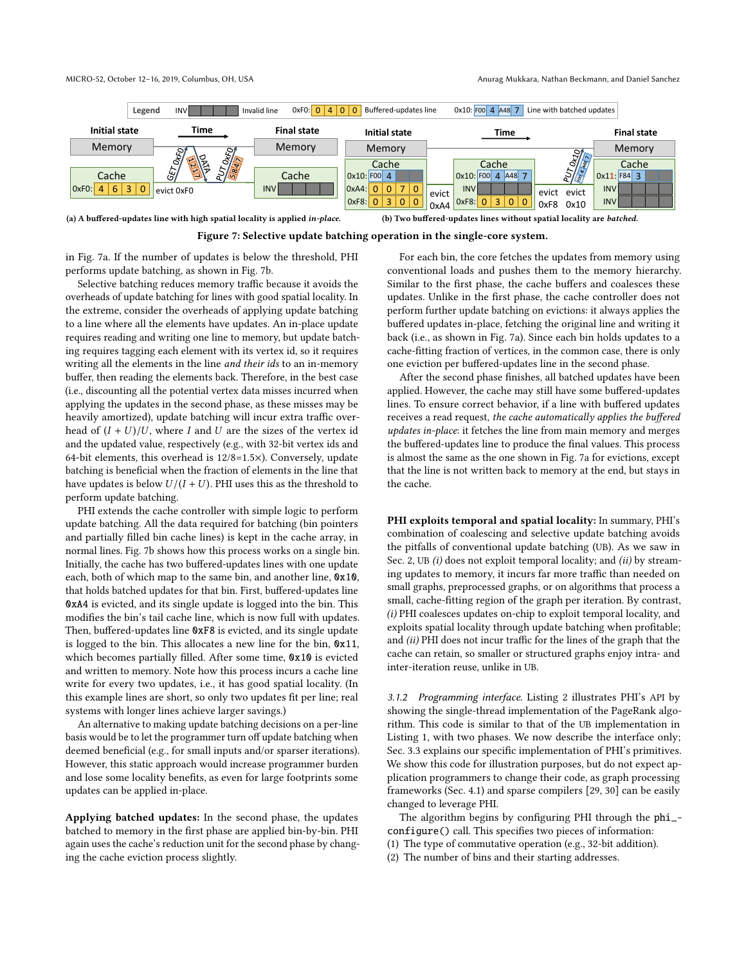

(a) A buffered-updates line with high spatial locality is applied in-place.

(b) Two buffered-updates lines without spatial locality are batched.



in Fig. 7a. If the number of updates is below the threshold, PHI performs update batching, as shown in Fig. 7b.

Selective batching reduces memory traffic because it avoids the overheads of update batching for lines with good spatial locality. In the extreme, consider the overheads of applying update batching to a line where all the elements have updates. An in-place update requires reading and writing one line to memory, but update batching requires tagging each element with its vertex id, so it requires writing all the elements in the line and their ids to an in-memory buffer, then reading the elements back. Therefore, in the best case (i.e., discounting all the potential vertex data misses incurred when applying the updates in the second phase, as these misses may be heavily amortized), update batching will incur extra traffic overhead of  $(I + U)/U$ , where I and U are the sizes of the vertex id and the updated value, respectively (e.g., with 32-bit vertex ids and 64-bit elements, this overhead is 12/8=1.5×). Conversely, update batching is beneficial when the fraction of elements in the line that have updates is below  $U/(I+U)$ . PHI uses this as the threshold to perform update batching.

PHI extends the cache controller with simple logic to perform update batching. All the data required for batching (bin pointers and partially filled bin cache lines) is kept in the cache array, in normal lines. Fig. 7b shows how this process works on a single bin. Initially, the cache has two buffered-updates lines with one update each, both of which map to the same bin, and another line, 0x10, that holds batched updates for that bin. First, buffered-updates line 0xA4 is evicted, and its single update is logged into the bin. This modifies the bin's tail cache line, which is now full with updates. Then, buffered-updates line 0xF8 is evicted, and its single update is logged to the bin. This allocates a new line for the bin, 0x11, which becomes partially filled. After some time, 0x10 is evicted and written to memory. Note how this process incurs a cache line write for every two updates, i.e., it has good spatial locality. (In this example lines are short, so only two updates fit per line; real systems with longer lines achieve larger savings.)

An alternative to making update batching decisions on a per-line basis would be to let the programmer turn off update batching when deemed beneficial (e.g., for small inputs and/or sparser iterations). However, this static approach would increase programmer burden and lose some locality benefits, as even for large footprints some updates can be applied in-place.

Applying batched updates: In the second phase, the updates batched to memory in the first phase are applied bin-by-bin. PHI again uses the cache's reduction unit for the second phase by changing the cache eviction process slightly.

For each bin, the core fetches the updates from memory using conventional loads and pushes them to the memory hierarchy. Similar to the first phase, the cache buffers and coalesces these updates. Unlike in the first phase, the cache controller does not perform further update batching on evictions: it always applies the buffered updates in-place, fetching the original line and writing it back (i.e., as shown in Fig. 7a). Since each bin holds updates to a cache-fitting fraction of vertices, in the common case, there is only one eviction per buffered-updates line in the second phase.

After the second phase finishes, all batched updates have been applied. However, the cache may still have some buffered-updates lines. To ensure correct behavior, if a line with buffered updates receives a read request, the cache automatically applies the buffered updates in-place: it fetches the line from main memory and merges the buffered-updates line to produce the final values. This process is almost the same as the one shown in Fig. 7a for evictions, except that the line is not written back to memory at the end, but stays in the cache.

PHI exploits temporal and spatial locality: In summary, PHI's combination of coalescing and selective update batching avoids the pitfalls of conventional update batching (UB). As we saw in Sec. 2, UB (i) does not exploit temporal locality; and (ii) by streaming updates to memory, it incurs far more traffic than needed on small graphs, preprocessed graphs, or on algorithms that process a small, cache-fitting region of the graph per iteration. By contrast, (i) PHI coalesces updates on-chip to exploit temporal locality, and exploits spatial locality through update batching when profitable; and (ii) PHI does not incur traffic for the lines of the graph that the cache can retain, so smaller or structured graphs enjoy intra- and inter-iteration reuse, unlike in UB.

3.1.2 Programming interface. Listing 2 illustrates PHI's API by showing the single-thread implementation of the PageRank algorithm. This code is similar to that of the UB implementation in Listing 1, with two phases. We now describe the interface only; Sec. 3.3 explains our specific implementation of PHI's primitives. We show this code for illustration purposes, but do not expect application programmers to change their code, as graph processing frameworks (Sec. 4.1) and sparse compilers [29, 30] can be easily changed to leverage PHI.

The algorithm begins by configuring PHI through the phi\_ configure() call. This specifies two pieces of information:

- (1) The type of commutative operation (e.g., 32-bit addition).
- (2) The number of bins and their starting addresses.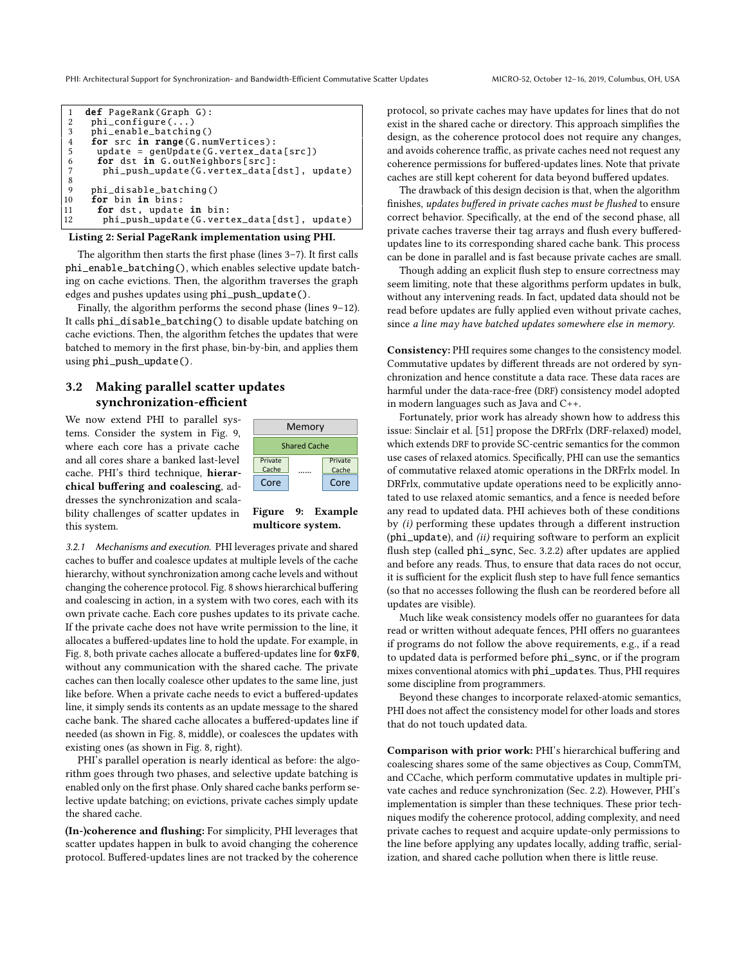| 1  | def PageRank(Graph G):                      |
|----|---------------------------------------------|
| 2  | $phi_{\text{1}}$ configure $( \ldots )$     |
| 3  | phi_enable_batching()                       |
| 4  | for src in range (G. numVertices):          |
| 5  | $update = genUpdate(G.vertex_data[src])$    |
| 6  | for dst in G.outNeighbors[src]:             |
|    | phi_push_update(G.vertex_data[dst], update) |
| 8  |                                             |
| 9  | phi_disable_batching()                      |
| 10 | for bin in bins:                            |
| 11 | for dst, update in bin:                     |
| 12 | phi_push_update(G.vertex_data[dst], update) |

#### Listing 2: Serial PageRank implementation using PHI.

The algorithm then starts the first phase (lines  $3-7$ ). It first calls phi\_enable\_batching(), which enables selective update batching on cache evictions. Then, the algorithm traverses the graph edges and pushes updates using phi\_push\_update().

Finally, the algorithm performs the second phase (lines 9-12). It calls phi\_disable\_batching() to disable update batching on cache evictions. Then, the algorithm fetches the updates that were batched to memory in the first phase, bin-by-bin, and applies them using phi\_push\_update().

# 3.2 Making parallel scatter updates synchronization-efficient

We now extend PHI to parallel systems. Consider the system in Fig. 9, where each core has a private cache and all cores share a banked last-level cache. PHI's third technique, hierarchical buffering and coalescing, addresses the synchronization and scalability challenges of scatter updates in this system.



Figure 9: Example multicore system.

3.2.1 Mechanisms and execution. PHI leverages private and shared caches to buffer and coalesce updates at multiple levels of the cache hierarchy, without synchronization among cache levels and without changing the coherence protocol. Fig. 8 shows hierarchical buffering and coalescing in action, in a system with two cores, each with its own private cache. Each core pushes updates to its private cache. If the private cache does not have write permission to the line, it allocates a buffered-updates line to hold the update. For example, in Fig. 8, both private caches allocate a buffered-updates line for 0xF0, without any communication with the shared cache. The private caches can then locally coalesce other updates to the same line, just like before. When a private cache needs to evict a buffered-updates line, it simply sends its contents as an update message to the shared cache bank. The shared cache allocates a buffered-updates line if needed (as shown in Fig. 8, middle), or coalesces the updates with existing ones (as shown in Fig. 8, right).

PHI's parallel operation is nearly identical as before: the algorithm goes through two phases, and selective update batching is enabled only on the first phase. Only shared cache banks perform selective update batching; on evictions, private caches simply update the shared cache.

(In-)coherence and flushing: For simplicity, PHI leverages that scatter updates happen in bulk to avoid changing the coherence protocol. Buffered-updates lines are not tracked by the coherence protocol, so private caches may have updates for lines that do not exist in the shared cache or directory. This approach simplifies the design, as the coherence protocol does not require any changes, and avoids coherence traffic, as private caches need not request any coherence permissions for buffered-updates lines. Note that private caches are still kept coherent for data beyond buffered updates.

The drawback of this design decision is that, when the algorithm finishes, updates buffered in private caches must be flushed to ensure correct behavior. Specifically, at the end of the second phase, all private caches traverse their tag arrays and flush every bufferedupdates line to its corresponding shared cache bank. This process can be done in parallel and is fast because private caches are small.

Though adding an explicit flush step to ensure correctness may seem limiting, note that these algorithms perform updates in bulk, without any intervening reads. In fact, updated data should not be read before updates are fully applied even without private caches, since a line may have batched updates somewhere else in memory.

Consistency: PHI requires some changes to the consistency model. Commutative updates by different threads are not ordered by synchronization and hence constitute a data race. These data races are harmful under the data-race-free (DRF) consistency model adopted in modern languages such as Java and C++.

Fortunately, prior work has already shown how to address this issue: Sinclair et al. [51] propose the DRFrlx (DRF-relaxed) model, which extends DRF to provide SC-centric semantics for the common use cases of relaxed atomics. Specifically, PHI can use the semantics of commutative relaxed atomic operations in the DRFrlx model. In DRFrlx, commutative update operations need to be explicitly annotated to use relaxed atomic semantics, and a fence is needed before any read to updated data. PHI achieves both of these conditions by (i) performing these updates through a different instruction (phi\_update), and (ii) requiring software to perform an explicit flush step (called phi\_sync, Sec. 3.2.2) after updates are applied and before any reads. Thus, to ensure that data races do not occur, it is sufficient for the explicit flush step to have full fence semantics (so that no accesses following the flush can be reordered before all updates are visible).

Much like weak consistency models offer no guarantees for data read or written without adequate fences, PHI offers no guarantees if programs do not follow the above requirements, e.g., if a read to updated data is performed before phi\_sync, or if the program mixes conventional atomics with phi\_updates. Thus, PHI requires some discipline from programmers.

Beyond these changes to incorporate relaxed-atomic semantics, PHI does not affect the consistency model for other loads and stores that do not touch updated data.

Comparison with prior work: PHI's hierarchical buffering and coalescing shares some of the same objectives as Coup, CommTM, and CCache, which perform commutative updates in multiple private caches and reduce synchronization (Sec. 2.2). However, PHI's implementation is simpler than these techniques. These prior techniques modify the coherence protocol, adding complexity, and need private caches to request and acquire update-only permissions to the line before applying any updates locally, adding traffic, serialization, and shared cache pollution when there is little reuse.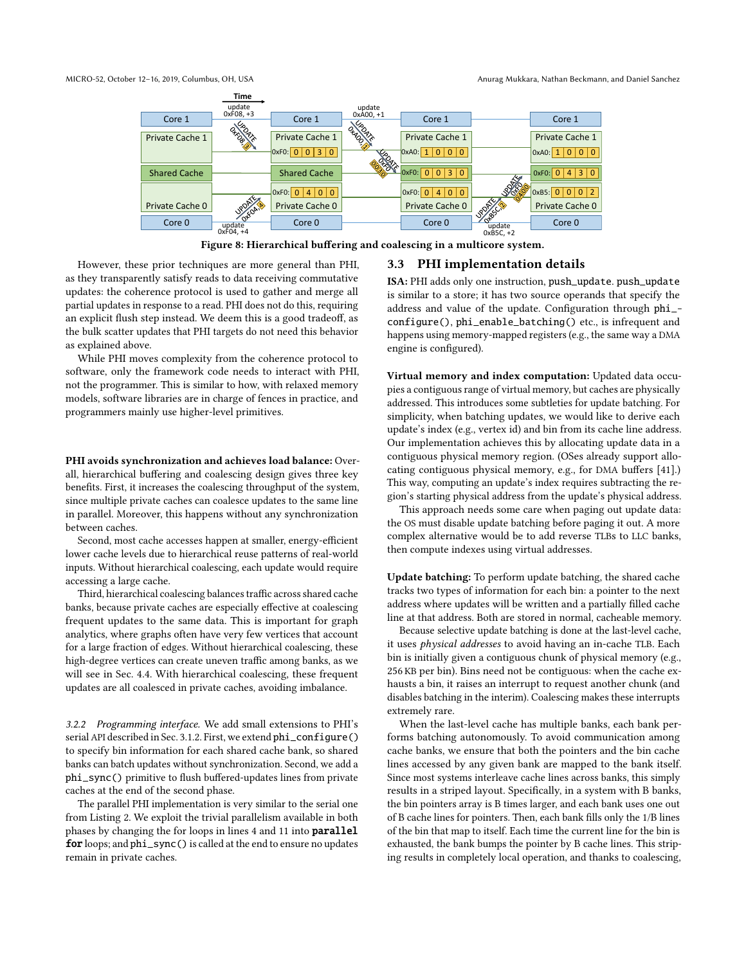

Figure 8: Hierarchical buffering and coalescing in a multicore system.

However, these prior techniques are more general than PHI, as they transparently satisfy reads to data receiving commutative updates: the coherence protocol is used to gather and merge all partial updates in response to a read. PHI does not do this, requiring an explicit flush step instead. We deem this is a good tradeoff, as the bulk scatter updates that PHI targets do not need this behavior as explained above.

While PHI moves complexity from the coherence protocol to software, only the framework code needs to interact with PHI, not the programmer. This is similar to how, with relaxed memory models, software libraries are in charge of fences in practice, and programmers mainly use higher-level primitives.

PHI avoids synchronization and achieves load balance: Overall, hierarchical buffering and coalescing design gives three key benefits. First, it increases the coalescing throughput of the system, since multiple private caches can coalesce updates to the same line in parallel. Moreover, this happens without any synchronization between caches.

Second, most cache accesses happen at smaller, energy-efficient lower cache levels due to hierarchical reuse patterns of real-world inputs. Without hierarchical coalescing, each update would require accessing a large cache.

Third, hierarchical coalescing balances traffic across shared cache banks, because private caches are especially effective at coalescing frequent updates to the same data. This is important for graph analytics, where graphs often have very few vertices that account for a large fraction of edges. Without hierarchical coalescing, these high-degree vertices can create uneven traffic among banks, as we will see in Sec. 4.4. With hierarchical coalescing, these frequent updates are all coalesced in private caches, avoiding imbalance.

3.2.2 Programming interface. We add small extensions to PHI's serial API described in Sec. 3.1.2. First, we extend phi\_configure() to specify bin information for each shared cache bank, so shared banks can batch updates without synchronization. Second, we add a phi\_sync() primitive to flush buffered-updates lines from private caches at the end of the second phase.

The parallel PHI implementation is very similar to the serial one from Listing 2. We exploit the trivial parallelism available in both phases by changing the for loops in lines 4 and 11 into parallel for loops; and phi\_sync() is called at the end to ensure no updates remain in private caches.

### 3.3 PHI implementation details

ISA: PHI adds only one instruction, push\_update. push\_update is similar to a store; it has two source operands that specify the address and value of the update. Configuration through phi\_ configure(), phi\_enable\_batching() etc., is infrequent and happens using memory-mapped registers (e.g., the same way a DMA engine is configured).

Virtual memory and index computation: Updated data occupies a contiguous range of virtual memory, but caches are physically addressed. This introduces some subtleties for update batching. For simplicity, when batching updates, we would like to derive each update's index (e.g., vertex id) and bin from its cache line address. Our implementation achieves this by allocating update data in a contiguous physical memory region. (OSes already support allocating contiguous physical memory, e.g., for DMA buffers [41].) This way, computing an update's index requires subtracting the region's starting physical address from the update's physical address.

This approach needs some care when paging out update data: the OS must disable update batching before paging it out. A more complex alternative would be to add reverse TLBs to LLC banks, then compute indexes using virtual addresses.

Update batching: To perform update batching, the shared cache tracks two types of information for each bin: a pointer to the next address where updates will be written and a partially filled cache line at that address. Both are stored in normal, cacheable memory.

Because selective update batching is done at the last-level cache, it uses physical addresses to avoid having an in-cache TLB. Each bin is initially given a contiguous chunk of physical memory (e.g., 256 KB per bin). Bins need not be contiguous: when the cache exhausts a bin, it raises an interrupt to request another chunk (and disables batching in the interim). Coalescing makes these interrupts extremely rare.

When the last-level cache has multiple banks, each bank performs batching autonomously. To avoid communication among cache banks, we ensure that both the pointers and the bin cache lines accessed by any given bank are mapped to the bank itself. Since most systems interleave cache lines across banks, this simply results in a striped layout. Specifically, in a system with B banks, the bin pointers array is B times larger, and each bank uses one out of B cache lines for pointers. Then, each bank fills only the 1/B lines of the bin that map to itself. Each time the current line for the bin is exhausted, the bank bumps the pointer by B cache lines. This striping results in completely local operation, and thanks to coalescing,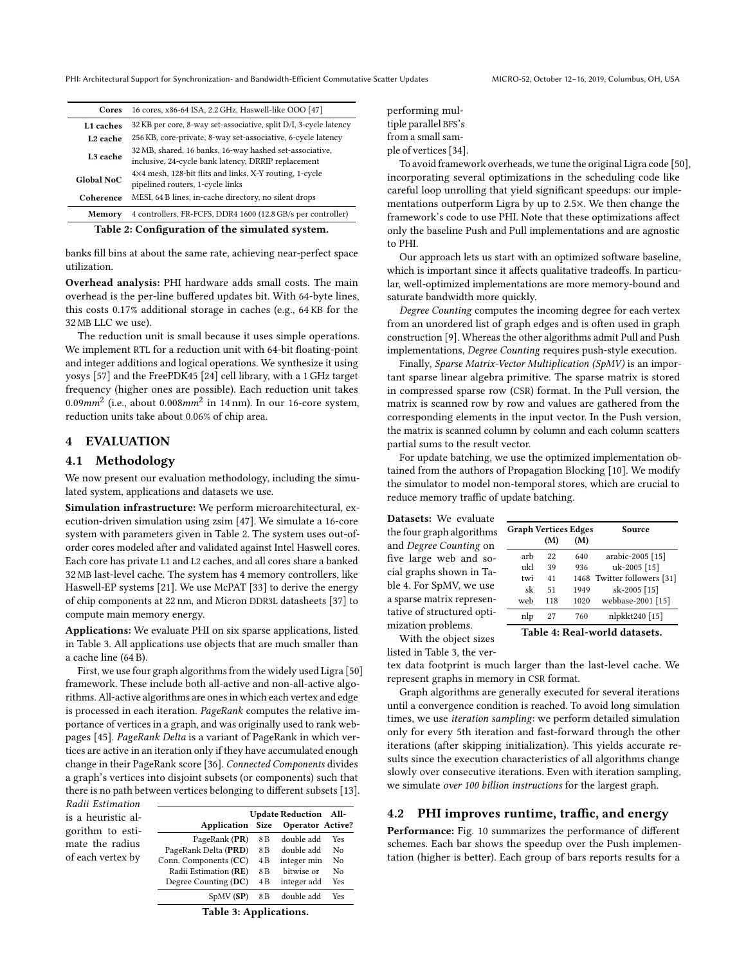| Cores                                           | 16 cores, x86-64 ISA, 2.2 GHz, Haswell-like OOO [47]                                                           |  |
|-------------------------------------------------|----------------------------------------------------------------------------------------------------------------|--|
| L <sub>1</sub> caches                           | 32 KB per core, 8-way set-associative, split D/I, 3-cycle latency                                              |  |
| L <sub>2</sub> cache                            | 256 KB, core-private, 8-way set-associative, 6-cycle latency                                                   |  |
| L <sub>3</sub> cache                            | 32 MB, shared, 16 banks, 16-way hashed set-associative,<br>inclusive, 24-cycle bank latency, DRRIP replacement |  |
| <b>Global NoC</b>                               | 4×4 mesh, 128-bit flits and links, X-Y routing, 1-cycle<br>pipelined routers, 1-cycle links                    |  |
| Coherence                                       | MESI, 64 B lines, in-cache directory, no silent drops                                                          |  |
| Memory                                          | 4 controllers, FR-FCFS, DDR4 1600 (12.8 GB/s per controller)                                                   |  |
| Table 2: Configuration of the simulated system. |                                                                                                                |  |

banks fill bins at about the same rate, achieving near-perfect space utilization.

Overhead analysis: PHI hardware adds small costs. The main overhead is the per-line buffered updates bit. With 64-byte lines, this costs 0.17% additional storage in caches (e.g., 64 KB for the 32 MB LLC we use).

The reduction unit is small because it uses simple operations. We implement RTL for a reduction unit with 64-bit floating-point and integer additions and logical operations. We synthesize it using yosys [57] and the FreePDK45 [24] cell library, with a 1 GHz target frequency (higher ones are possible). Each reduction unit takes  $0.09mm^2$  (i.e., about  $0.008mm^2$  in 14 nm). In our 16-core system, reduction units take about 0.06% of chip area.

# 4 EVALUATION

# 4.1 Methodology

We now present our evaluation methodology, including the simulated system, applications and datasets we use.

Simulation infrastructure: We perform microarchitectural, execution-driven simulation using zsim [47]. We simulate a 16-core system with parameters given in Table 2. The system uses out-oforder cores modeled after and validated against Intel Haswell cores. Each core has private L1 and L2 caches, and all cores share a banked 32 MB last-level cache. The system has 4 memory controllers, like Haswell-EP systems [21]. We use McPAT [33] to derive the energy of chip components at 22 nm, and Micron DDR3L datasheets [37] to compute main memory energy.

Applications: We evaluate PHI on six sparse applications, listed in Table 3. All applications use objects that are much smaller than a cache line (64 B).

First, we use four graph algorithms from the widely used Ligra [50] framework. These include both all-active and non-all-active algorithms. All-active algorithms are ones in which each vertex and edge is processed in each iteration. PageRank computes the relative importance of vertices in a graph, and was originally used to rank webpages [45]. PageRank Delta is a variant of PageRank in which vertices are active in an iteration only if they have accumulated enough change in their PageRank score [36]. Connected Components divides a graph's vertices into disjoint subsets (or components) such that there is no path between vertices belonging to different subsets [13].

| Radii Estimation                                         |                                 |        |  |
|----------------------------------------------------------|---------------------------------|--------|--|
| is a heuristic al-                                       |                                 | App.   |  |
| gorithm to esti-<br>mate the radius<br>of each vertex by | PageRank Delt<br>Conn. Componer | PageRa |  |
|                                                          | Radii Estimati                  |        |  |
|                                                          |                                 |        |  |

|                       | <b>Update Reduction</b> | All-                    |            |
|-----------------------|-------------------------|-------------------------|------------|
| Application           | <b>Size</b>             | <b>Operator Active?</b> |            |
| PageRank (PR)         | 8 <sub>B</sub>          | double add              | <b>Yes</b> |
| PageRank Delta (PRD)  | 8 <sub>B</sub>          | double add              | No         |
| Conn. Components (CC) | 4 B                     | integer min             | No         |
| Radii Estimation (RE) | 8 <sub>B</sub>          | bitwise or              | No         |
| Degree Counting (DC)  | 4 B                     | integer add             | Yes        |
| SpMV(SP)              | 8 B                     | double add              | Yes        |

Table 3: Applications.

performing multiple parallel BFS's from a small sample of vertices [34].

To avoid framework overheads, we tune the original Ligra code [50], incorporating several optimizations in the scheduling code like careful loop unrolling that yield significant speedups: our implementations outperform Ligra by up to 2.5×. We then change the framework's code to use PHI. Note that these optimizations affect only the baseline Push and Pull implementations and are agnostic to PHI.

Our approach lets us start with an optimized software baseline, which is important since it affects qualitative tradeoffs. In particular, well-optimized implementations are more memory-bound and saturate bandwidth more quickly.

Degree Counting computes the incoming degree for each vertex from an unordered list of graph edges and is often used in graph construction [9]. Whereas the other algorithms admit Pull and Push implementations, Degree Counting requires push-style execution.

Finally, Sparse Matrix-Vector Multiplication (SpMV) is an important sparse linear algebra primitive. The sparse matrix is stored in compressed sparse row (CSR) format. In the Pull version, the matrix is scanned row by row and values are gathered from the corresponding elements in the input vector. In the Push version, the matrix is scanned column by column and each column scatters partial sums to the result vector.

For update batching, we use the optimized implementation obtained from the authors of Propagation Blocking [10]. We modify the simulator to model non-temporal stores, which are crucial to reduce memory traffic of update batching.

| Datasets: We evaluate                                                                                                                                                                                                                                                                                                                                                                                                                                                                          |                               |     |      |                             |
|------------------------------------------------------------------------------------------------------------------------------------------------------------------------------------------------------------------------------------------------------------------------------------------------------------------------------------------------------------------------------------------------------------------------------------------------------------------------------------------------|-------------------------------|-----|------|-----------------------------|
| the four graph algorithms<br>and Degree Counting on                                                                                                                                                                                                                                                                                                                                                                                                                                            | <b>Graph Vertices Edges</b>   | (M) | (M)  | Source                      |
| five large web and so-                                                                                                                                                                                                                                                                                                                                                                                                                                                                         | arb                           | 22  | 640  | arabic-2005 [15]            |
| cial graphs shown in Ta-                                                                                                                                                                                                                                                                                                                                                                                                                                                                       | ukl                           | 39  | 936  | uk-2005 [15]                |
|                                                                                                                                                                                                                                                                                                                                                                                                                                                                                                | twi                           | 41  |      | 1468 Twitter followers [31] |
| ble 4. For SpMV, we use                                                                                                                                                                                                                                                                                                                                                                                                                                                                        | sk                            | 51  | 1949 | sk-2005 [15]                |
| a sparse matrix represen-                                                                                                                                                                                                                                                                                                                                                                                                                                                                      | web                           | 118 | 1020 | webbase-2001 [15]           |
| tative of structured opti-                                                                                                                                                                                                                                                                                                                                                                                                                                                                     | nlp                           | 27  | 760  | nlpkkt240 [15]              |
| mization problems.<br>$\mathbf{X} \mathbf{X} \mathbf{Y} \cdot \mathbf{I}$ and $\mathbf{I} \cdot \mathbf{I} \cdot \mathbf{I} \cdot \mathbf{I} \cdot \mathbf{I} \cdot \mathbf{I} \cdot \mathbf{I} \cdot \mathbf{I} \cdot \mathbf{I} \cdot \mathbf{I} \cdot \mathbf{I} \cdot \mathbf{I} \cdot \mathbf{I} \cdot \mathbf{I} \cdot \mathbf{I} \cdot \mathbf{I} \cdot \mathbf{I} \cdot \mathbf{I} \cdot \mathbf{I} \cdot \mathbf{I} \cdot \mathbf{I} \cdot \mathbf{I} \cdot \mathbf{I} \cdot \mathbf$ | Table 4: Real-world datasets. |     |      |                             |

With the object sizes

listed in Table 3, the ver-

tex data footprint is much larger than the last-level cache. We represent graphs in memory in CSR format.

Graph algorithms are generally executed for several iterations until a convergence condition is reached. To avoid long simulation times, we use iteration sampling: we perform detailed simulation only for every 5th iteration and fast-forward through the other iterations (after skipping initialization). This yields accurate results since the execution characteristics of all algorithms change slowly over consecutive iterations. Even with iteration sampling, we simulate over 100 billion instructions for the largest graph.

### 4.2 PHI improves runtime, traffic, and energy

Performance: Fig. 10 summarizes the performance of different schemes. Each bar shows the speedup over the Push implementation (higher is better). Each group of bars reports results for a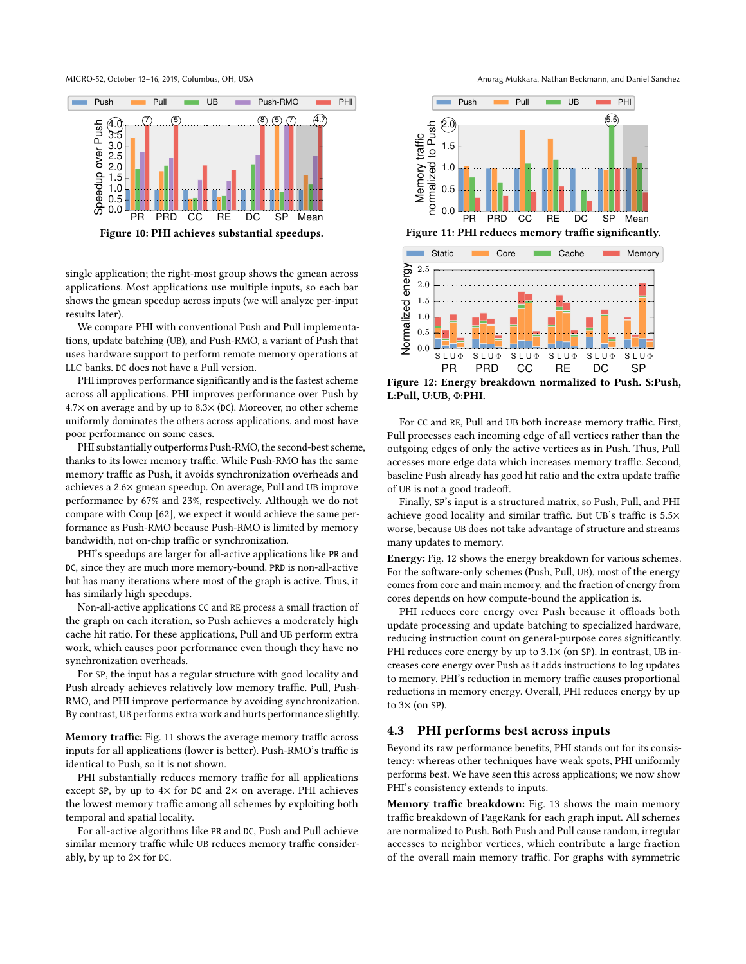MICRO-52, October 12-16, 2019, Columbus, OH, USA Anurag Mukkara, Nathan Beckmann, and Daniel Sanchez



Figure 10: PHI achieves substantial speedups.

single application; the right-most group shows the gmean across applications. Most applications use multiple inputs, so each bar shows the gmean speedup across inputs (we will analyze per-input results later).

We compare PHI with conventional Push and Pull implementations, update batching (UB), and Push-RMO, a variant of Push that uses hardware support to perform remote memory operations at LLC banks. DC does not have a Pull version.

PHI improves performance significantly and is the fastest scheme across all applications. PHI improves performance over Push by  $4.7\times$  on average and by up to 8.3 $\times$  (DC). Moreover, no other scheme uniformly dominates the others across applications, and most have poor performance on some cases.

PHI substantially outperforms Push-RMO, the second-best scheme, thanks to its lower memory traffic. While Push-RMO has the same memory traffic as Push, it avoids synchronization overheads and achieves a 2.6× gmean speedup. On average, Pull and UB improve performance by 67% and 23%, respectively. Although we do not compare with Coup [62], we expect it would achieve the same performance as Push-RMO because Push-RMO is limited by memory bandwidth, not on-chip traffic or synchronization.

PHI's speedups are larger for all-active applications like PR and DC, since they are much more memory-bound. PRD is non-all-active but has many iterations where most of the graph is active. Thus, it has similarly high speedups.

Non-all-active applications CC and RE process a small fraction of the graph on each iteration, so Push achieves a moderately high cache hit ratio. For these applications, Pull and UB perform extra work, which causes poor performance even though they have no synchronization overheads.

For SP, the input has a regular structure with good locality and Push already achieves relatively low memory traffic. Pull, Push-RMO, and PHI improve performance by avoiding synchronization. By contrast, UB performs extra work and hurts performance slightly.

Memory traffic: Fig. 11 shows the average memory traffic across inputs for all applications (lower is better). Push-RMO's traffic is identical to Push, so it is not shown.

PHI substantially reduces memory traffic for all applications except SP, by up to  $4\times$  for DC and  $2\times$  on average. PHI achieves the lowest memory traffic among all schemes by exploiting both temporal and spatial locality.

For all-active algorithms like PR and DC, Push and Pull achieve similar memory traffic while UB reduces memory traffic considerably, by up to  $2\times$  for DC.



Figure 11: PHI reduces memory traffic significantly.



Figure 12: Energy breakdown normalized to Push. S:Push, L:Pull, U:UB, Φ:PHI.

For CC and RE, Pull and UB both increase memory traffic. First, Pull processes each incoming edge of all vertices rather than the outgoing edges of only the active vertices as in Push. Thus, Pull accesses more edge data which increases memory traffic. Second, baseline Push already has good hit ratio and the extra update traffic of UB is not a good tradeoff.

Finally, SP's input is a structured matrix, so Push, Pull, and PHI achieve good locality and similar traffic. But UB's traffic is 5.5× worse, because UB does not take advantage of structure and streams many updates to memory.

Energy: Fig. 12 shows the energy breakdown for various schemes. For the software-only schemes (Push, Pull, UB), most of the energy comes from core and main memory, and the fraction of energy from cores depends on how compute-bound the application is.

PHI reduces core energy over Push because it offloads both update processing and update batching to specialized hardware, reducing instruction count on general-purpose cores significantly. PHI reduces core energy by up to  $3.1\times$  (on SP). In contrast, UB increases core energy over Push as it adds instructions to log updates to memory. PHI's reduction in memory traffic causes proportional reductions in memory energy. Overall, PHI reduces energy by up to  $3\times$  (on SP).

# 4.3 PHI performs best across inputs

Beyond its raw performance benefits, PHI stands out for its consistency: whereas other techniques have weak spots, PHI uniformly performs best. We have seen this across applications; we now show PHI's consistency extends to inputs.

Memory traffic breakdown: Fig. 13 shows the main memory traffic breakdown of PageRank for each graph input. All schemes are normalized to Push. Both Push and Pull cause random, irregular accesses to neighbor vertices, which contribute a large fraction of the overall main memory traffic. For graphs with symmetric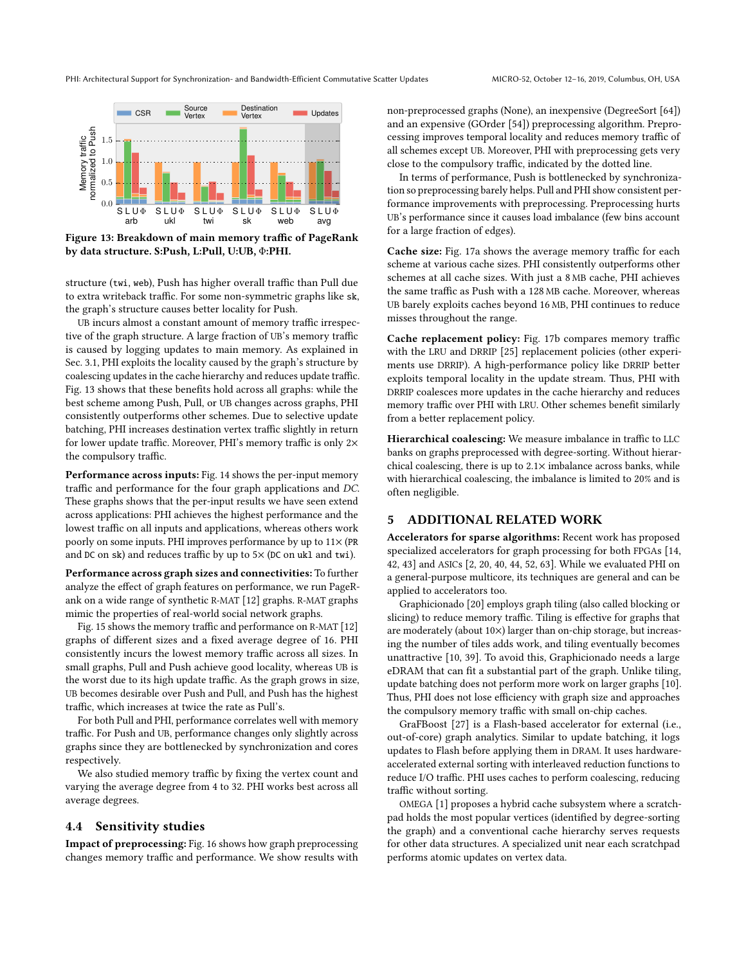

Figure 13: Breakdown of main memory traffic of PageRank by data structure. S:Push, L:Pull, U:UB, Φ:PHI.

structure (twi, web), Push has higher overall traffic than Pull due to extra writeback traffic. For some non-symmetric graphs like sk, the graph's structure causes better locality for Push.

UB incurs almost a constant amount of memory traffic irrespective of the graph structure. A large fraction of UB's memory traffic is caused by logging updates to main memory. As explained in Sec. 3.1, PHI exploits the locality caused by the graph's structure by coalescing updates in the cache hierarchy and reduces update traffic. Fig. 13 shows that these benefits hold across all graphs: while the best scheme among Push, Pull, or UB changes across graphs, PHI consistently outperforms other schemes. Due to selective update batching, PHI increases destination vertex traffic slightly in return for lower update traffic. Moreover, PHI's memory traffic is only 2× the compulsory traffic.

Performance across inputs: Fig. 14 shows the per-input memory traffic and performance for the four graph applications and DC. These graphs shows that the per-input results we have seen extend across applications: PHI achieves the highest performance and the lowest traffic on all inputs and applications, whereas others work poorly on some inputs. PHI improves performance by up to 11× (PR and DC on sk) and reduces traffic by up to  $5\times$  (DC on ukl and twi).

Performance across graph sizes and connectivities: To further analyze the effect of graph features on performance, we run PageRank on a wide range of synthetic R-MAT [12] graphs. R-MAT graphs mimic the properties of real-world social network graphs.

Fig. 15 shows the memory traffic and performance on R-MAT [12] graphs of different sizes and a fixed average degree of 16. PHI consistently incurs the lowest memory traffic across all sizes. In small graphs, Pull and Push achieve good locality, whereas UB is the worst due to its high update traffic. As the graph grows in size, UB becomes desirable over Push and Pull, and Push has the highest traffic, which increases at twice the rate as Pull's.

For both Pull and PHI, performance correlates well with memory traffic. For Push and UB, performance changes only slightly across graphs since they are bottlenecked by synchronization and cores respectively.

We also studied memory traffic by fixing the vertex count and varying the average degree from 4 to 32. PHI works best across all average degrees.

# 4.4 Sensitivity studies

Impact of preprocessing: Fig. 16 shows how graph preprocessing changes memory traffic and performance. We show results with non-preprocessed graphs (None), an inexpensive (DegreeSort [64]) and an expensive (GOrder [54]) preprocessing algorithm. Preprocessing improves temporal locality and reduces memory traffic of all schemes except UB. Moreover, PHI with preprocessing gets very close to the compulsory traffic, indicated by the dotted line.

In terms of performance, Push is bottlenecked by synchronization so preprocessing barely helps. Pull and PHI show consistent performance improvements with preprocessing. Preprocessing hurts UB's performance since it causes load imbalance (few bins account for a large fraction of edges).

Cache size: Fig. 17a shows the average memory traffic for each scheme at various cache sizes. PHI consistently outperforms other schemes at all cache sizes. With just a 8 MB cache, PHI achieves the same traffic as Push with a 128 MB cache. Moreover, whereas UB barely exploits caches beyond 16 MB, PHI continues to reduce misses throughout the range.

Cache replacement policy: Fig. 17b compares memory traffic with the LRU and DRRIP [25] replacement policies (other experiments use DRRIP). A high-performance policy like DRRIP better exploits temporal locality in the update stream. Thus, PHI with DRRIP coalesces more updates in the cache hierarchy and reduces memory traffic over PHI with LRU. Other schemes benefit similarly from a better replacement policy.

Hierarchical coalescing: We measure imbalance in traffic to LLC banks on graphs preprocessed with degree-sorting. Without hierarchical coalescing, there is up to  $2.1\times$  imbalance across banks, while with hierarchical coalescing, the imbalance is limited to 20% and is often negligible.

### 5 ADDITIONAL RELATED WORK

Accelerators for sparse algorithms: Recent work has proposed specialized accelerators for graph processing for both FPGAs [14, 42, 43] and ASICs [2, 20, 40, 44, 52, 63]. While we evaluated PHI on a general-purpose multicore, its techniques are general and can be applied to accelerators too.

Graphicionado [20] employs graph tiling (also called blocking or slicing) to reduce memory traffic. Tiling is effective for graphs that are moderately (about 10×) larger than on-chip storage, but increasing the number of tiles adds work, and tiling eventually becomes unattractive [10, 39]. To avoid this, Graphicionado needs a large eDRAM that can fit a substantial part of the graph. Unlike tiling, update batching does not perform more work on larger graphs [10]. Thus, PHI does not lose efficiency with graph size and approaches the compulsory memory traffic with small on-chip caches.

GraFBoost [27] is a Flash-based accelerator for external (i.e., out-of-core) graph analytics. Similar to update batching, it logs updates to Flash before applying them in DRAM. It uses hardwareaccelerated external sorting with interleaved reduction functions to reduce I/O traffic. PHI uses caches to perform coalescing, reducing traffic without sorting.

OMEGA [1] proposes a hybrid cache subsystem where a scratchpad holds the most popular vertices (identified by degree-sorting the graph) and a conventional cache hierarchy serves requests for other data structures. A specialized unit near each scratchpad performs atomic updates on vertex data.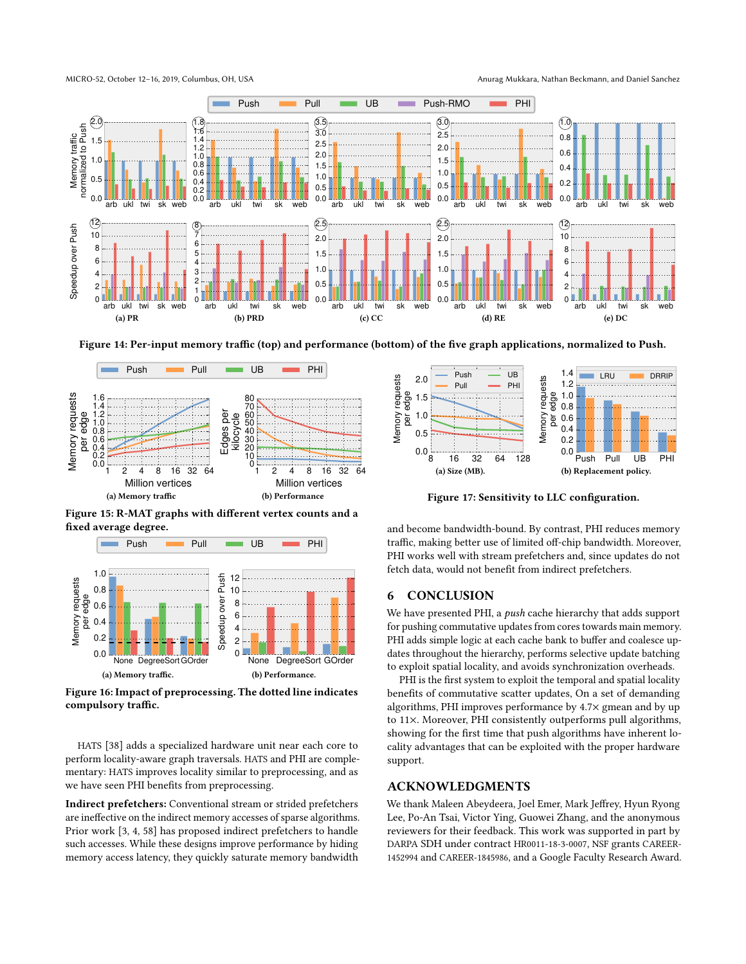

Figure 14: Per-input memory traffic (top) and performance (bottom) of the five graph applications, normalized to Push.



Figure 15: R-MAT graphs with different vertex counts and a fixed average degree.



Figure 16: Impact of preprocessing. The dotted line indicates compulsory traffic.

HATS [38] adds a specialized hardware unit near each core to perform locality-aware graph traversals. HATS and PHI are complementary: HATS improves locality similar to preprocessing, and as we have seen PHI benefits from preprocessing.

Indirect prefetchers: Conventional stream or strided prefetchers are ineffective on the indirect memory accesses of sparse algorithms. Prior work [3, 4, 58] has proposed indirect prefetchers to handle such accesses. While these designs improve performance by hiding memory access latency, they quickly saturate memory bandwidth



Figure 17: Sensitivity to LLC configuration.

and become bandwidth-bound. By contrast, PHI reduces memory traffic, making better use of limited off-chip bandwidth. Moreover, PHI works well with stream prefetchers and, since updates do not fetch data, would not benefit from indirect prefetchers.

# 6 CONCLUSION

We have presented PHI, a *push* cache hierarchy that adds support for pushing commutative updates from cores towards main memory. PHI adds simple logic at each cache bank to buffer and coalesce updates throughout the hierarchy, performs selective update batching to exploit spatial locality, and avoids synchronization overheads.

PHI is the first system to exploit the temporal and spatial locality benefits of commutative scatter updates, On a set of demanding algorithms, PHI improves performance by 4.7× gmean and by up to 11×. Moreover, PHI consistently outperforms pull algorithms, showing for the first time that push algorithms have inherent locality advantages that can be exploited with the proper hardware support.

### ACKNOWLEDGMENTS

We thank Maleen Abeydeera, Joel Emer, Mark Jeffrey, Hyun Ryong Lee, Po-An Tsai, Victor Ying, Guowei Zhang, and the anonymous reviewers for their feedback. This work was supported in part by DARPA SDH under contract HR0011-18-3-0007, NSF grants CAREER-1452994 and CAREER-1845986, and a Google Faculty Research Award.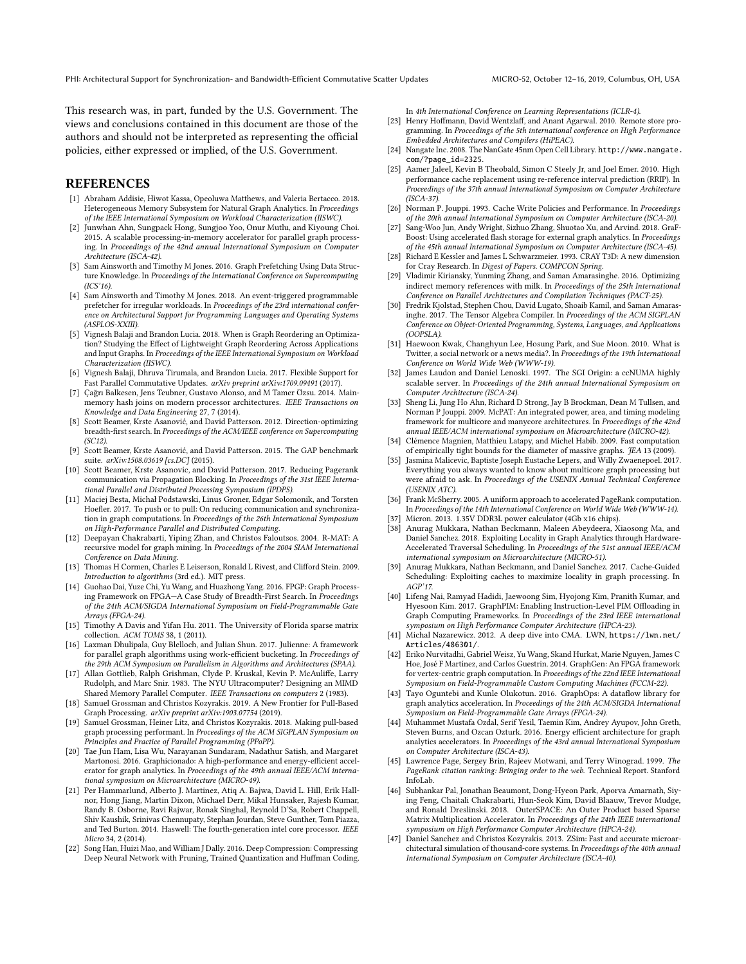This research was, in part, funded by the U.S. Government. The views and conclusions contained in this document are those of the authors and should not be interpreted as representing the official policies, either expressed or implied, of the U.S. Government.

### **REFERENCES**

- [1] Abraham Addisie, Hiwot Kassa, Opeoluwa Matthews, and Valeria Bertacco. 2018. Heterogeneous Memory Subsystem for Natural Graph Analytics. In Proceedings of the IEEE International Symposium on Workload Characterization (IISWC).
- [2] Junwhan Ahn, Sungpack Hong, Sungjoo Yoo, Onur Mutlu, and Kiyoung Choi. 2015. A scalable processing-in-memory accelerator for parallel graph processing. In Proceedings of the 42nd annual International Symposium on Computer Architecture (ISCA-42).
- [3] Sam Ainsworth and Timothy M Jones. 2016. Graph Prefetching Using Data Structure Knowledge. In Proceedings of the International Conference on Supercomputing (ICS'16).
- [4] Sam Ainsworth and Timothy M Jones. 2018. An event-triggered programmable prefetcher for irregular workloads. In Proceedings of the 23rd international conference on Architectural Support for Programming Languages and Operating Systems (ASPLOS-XXIII).
- [5] Vignesh Balaji and Brandon Lucia. 2018. When is Graph Reordering an Optimization? Studying the Effect of Lightweight Graph Reordering Across Applications and Input Graphs. In Proceedings of the IEEE International Symposium on Workload Characterization (IISWC).
- [6] Vignesh Balaji, Dhruva Tirumala, and Brandon Lucia. 2017. Flexible Support for Fast Parallel Commutative Updates. arXiv preprint arXiv:1709.09491 (2017).
- [7] Çağrı Balkesen, Jens Teubner, Gustavo Alonso, and M Tamer Özsu. 2014. Mainmemory hash joins on modern processor architectures. IEEE Transactions on Knowledge and Data Engineering 27, 7 (2014).
- [8] Scott Beamer, Krste Asanović, and David Patterson. 2012. Direction-optimizing breadth-first search. In Proceedings of the ACM/IEEE conference on Supercomputing (SC12).
- [9] Scott Beamer, Krste Asanović, and David Patterson. 2015. The GAP benchmark suite. arXiv:1508.03619 [cs.DC] (2015).
- [10] Scott Beamer, Krste Asanovic, and David Patterson, 2017. Reducing Pagerank communication via Propagation Blocking. In Proceedings of the 31st IEEE International Parallel and Distributed Processing Symposium (IPDPS).
- [11] Maciej Besta, Michał Podstawski, Linus Groner, Edgar Solomonik, and Torsten Hoefler. 2017. To push or to pull: On reducing communication and synchronization in graph computations. In Proceedings of the 26th International Symposium on High-Performance Parallel and Distributed Computing.
- [12] Deepayan Chakrabarti, Yiping Zhan, and Christos Faloutsos. 2004. R-MAT: A recursive model for graph mining. In Proceedings of the 2004 SIAM International Conference on Data Mining.
- [13] Thomas H Cormen, Charles E Leiserson, Ronald L Rivest, and Clifford Stein. 2009. Introduction to algorithms (3rd ed.). MIT press.
- [14] Guohao Dai, Yuze Chi, Yu Wang, and Huazhong Yang. 2016. FPGP: Graph Processing Framework on FPGA-A Case Study of Breadth-First Search. In Proceedings of the 24th ACM/SIGDA International Symposium on Field-Programmable Gate Arrays (FPGA-24).
- [15] Timothy A Davis and Yifan Hu. 2011. The University of Florida sparse matrix collection. ACM TOMS 38, 1 (2011).
- [16] Laxman Dhulipala, Guy Blelloch, and Julian Shun. 2017. Julienne: A framework for parallel graph algorithms using work-efficient bucketing. In Proceedings of the 29th ACM Symposium on Parallelism in Algorithms and Architectures (SPAA).
- [17] Allan Gottlieb, Ralph Grishman, Clyde P. Kruskal, Kevin P. McAuliffe, Larry Rudolph, and Marc Snir. 1983. The NYU Ultracomputer? Designing an MIMD Shared Memory Parallel Computer. IEEE Transactions on computers 2 (1983).
- [18] Samuel Grossman and Christos Kozyrakis. 2019. A New Frontier for Pull-Based Graph Processing. arXiv preprint arXiv:1903.07754 (2019).
- [19] Samuel Grossman, Heiner Litz, and Christos Kozyrakis. 2018. Making pull-based graph processing performant. In Proceedings of the ACM SIGPLAN Symposium on Principles and Practice of Parallel Programming (PPoPP).
- [20] Tae Jun Ham, Lisa Wu, Narayanan Sundaram, Nadathur Satish, and Margaret Martonosi. 2016. Graphicionado: A high-performance and energy-efficient accelerator for graph analytics. In Proceedings of the 49th annual IEEE/ACM international symposium on Microarchitecture (MICRO-49).
- [21] Per Hammarlund, Alberto J. Martinez, Atiq A. Bajwa, David L. Hill, Erik Hallnor, Hong Jiang, Martin Dixon, Michael Derr, Mikal Hunsaker, Rajesh Kumar, Randy B. Osborne, Ravi Rajwar, Ronak Singhal, Reynold D'Sa, Robert Chappell, Shiv Kaushik, Srinivas Chennupaty, Stephan Jourdan, Steve Gunther, Tom Piazza, and Ted Burton. 2014. Haswell: The fourth-generation intel core processor. IEEE Micro 34, 2 (2014).
- [22] Song Han, Huizi Mao, and William J Dally. 2016. Deep Compression: Compressing Deep Neural Network with Pruning, Trained Quantization and Huffman Coding.

In 4th International Conference on Learning Representations (ICLR-4).

- [23] Henry Hoffmann, David Wentzlaff, and Anant Agarwal. 2010. Remote store programming. In Proceedings of the 5th international conference on High Performance Embedded Architectures and Compilers (HiPEAC).
- [24] Nangate Inc. 2008. The NanGate 45nm Open Cell Library. http://www.nangate. com/?page\_id=2325.
- [25] Aamer Jaleel, Kevin B Theobald, Simon C Steely Jr, and Joel Emer. 2010. High performance cache replacement using re-reference interval prediction (RRIP). In Proceedings of the 37th annual International Symposium on Computer Architecture (ISCA-37).
- [26] Norman P. Jouppi. 1993. Cache Write Policies and Performance. In Proceedings of the 20th annual International Symposium on Computer Architecture (ISCA-20).
- [27] Sang-Woo Jun, Andy Wright, Sizhuo Zhang, Shuotao Xu, and Arvind. 2018. GraF-Boost: Using accelerated flash storage for external graph analytics. In Proceedings of the 45th annual International Symposium on Computer Architecture (ISCA-45).
- [28] Richard E Kessler and James L Schwarzmeier. 1993. CRAY T3D: A new dimension for Cray Research. In Digest of Papers. COMPCON Spring.
- [29] Vladimir Kiriansky, Yunming Zhang, and Saman Amarasinghe. 2016. Optimizing indirect memory references with milk. In Proceedings of the 25th International Conference on Parallel Architectures and Compilation Techniques (PACT-25).
- [30] Fredrik Kjolstad, Stephen Chou, David Lugato, Shoaib Kamil, and Saman Amarasinghe. 2017. The Tensor Algebra Compiler. In Proceedings of the ACM SIGPLAN Conference on Object-Oriented Programming, Systems, Languages, and Applications (OOPSLA).
- [31] Haewoon Kwak, Changhyun Lee, Hosung Park, and Sue Moon. 2010. What is Twitter, a social network or a news media?. In Proceedings of the 19th International Conference on World Wide Web (WWW-19).
- [32] James Laudon and Daniel Lenoski. 1997. The SGI Origin: a ccNUMA highly scalable server. In Proceedings of the 24th annual International Symposium on Computer Architecture (ISCA-24).
- [33] Sheng Li, Jung Ho Ahn, Richard D Strong, Jay B Brockman, Dean M Tullsen, and Norman P Jouppi. 2009. McPAT: An integrated power, area, and timing modeling framework for multicore and manycore architectures. In Proceedings of the 42nd annual IEEE/ACM international symposium on Microarchitecture (MICRO-42).
- [34] Clémence Magnien, Matthieu Latapy, and Michel Habib. 2009. Fast computation of empirically tight bounds for the diameter of massive graphs. JEA 13 (2009).
- [35] Jasmina Malicevic, Baptiste Joseph Eustache Lepers, and Willy Zwaenepoel. 2017. Everything you always wanted to know about multicore graph processing but were afraid to ask. In Proceedings of the USENIX Annual Technical Conference (USENIX ATC).
- [36] Frank McSherry. 2005. A uniform approach to accelerated PageRank computation. In Proceedings of the 14th International Conference on World Wide Web (WWW-14).
- [37] Micron. 2013. 1.35V DDR3L power calculator (4Gb x16 chips).
- [38] Anurag Mukkara, Nathan Beckmann, Maleen Abeydeera, Xiaosong Ma, and Daniel Sanchez. 2018. Exploiting Locality in Graph Analytics through Hardware-Accelerated Traversal Scheduling. In Proceedings of the 51st annual IEEE/ACM international symposium on Microarchitecture (MICRO-51).
- [39] Anurag Mukkara, Nathan Beckmann, and Daniel Sanchez. 2017. Cache-Guided Scheduling: Exploiting caches to maximize locality in graph processing. In AGP'17.
- [40] Lifeng Nai, Ramyad Hadidi, Jaewoong Sim, Hyojong Kim, Pranith Kumar, and Hyesoon Kim. 2017. GraphPIM: Enabling Instruction-Level PIM Offloading in Graph Computing Frameworks. In Proceedings of the 23rd IEEE international symposium on High Performance Computer Architecture (HPCA-23).
- [41] Michal Nazarewicz. 2012. A deep dive into CMA. LWN, https://lwn.net/ Articles/486301/
- [42] Eriko Nurvitadhi, Gabriel Weisz, Yu Wang, Skand Hurkat, Marie Nguyen, James C Hoe, José F Martínez, and Carlos Guestrin. 2014. GraphGen: An FPGA framework for vertex-centric graph computation. In Proceedings of the 22nd IEEE International Symposium on Field-Programmable Custom Computing Machines (FCCM-22).
- [43] Tayo Oguntebi and Kunle Olukotun. 2016. GraphOps: A dataflow library for graph analytics acceleration. In Proceedings of the 24th ACM/SIGDA International Symposium on Field-Programmable Gate Arrays (FPGA-24).
- [44] Muhammet Mustafa Ozdal, Serif Yesil, Taemin Kim, Andrey Ayupov, John Greth, Steven Burns, and Ozcan Ozturk. 2016. Energy efficient architecture for graph analytics accelerators. In Proceedings of the 43rd annual International Symposium on Computer Architecture (ISCA-43).
- [45] Lawrence Page, Sergey Brin, Rajeev Motwani, and Terry Winograd. 1999. The PageRank citation ranking: Bringing order to the web. Technical Report. Stanford InfoLab.
- [46] Subhankar Pal, Jonathan Beaumont, Dong-Hyeon Park, Aporva Amarnath, Siying Feng, Chaitali Chakrabarti, Hun-Seok Kim, David Blaauw, Trevor Mudge, and Ronald Dreslinski. 2018. OuterSPACE: An Outer Product based Sparse Matrix Multiplication Accelerator. In Proceedings of the 24th IEEE international symposium on High Performance Computer Architecture (HPCA-24).
- [47] Daniel Sanchez and Christos Kozyrakis. 2013. ZSim: Fast and accurate microarchitectural simulation of thousand-core systems. In Proceedings of the 40th annual International Symposium on Computer Architecture (ISCA-40).